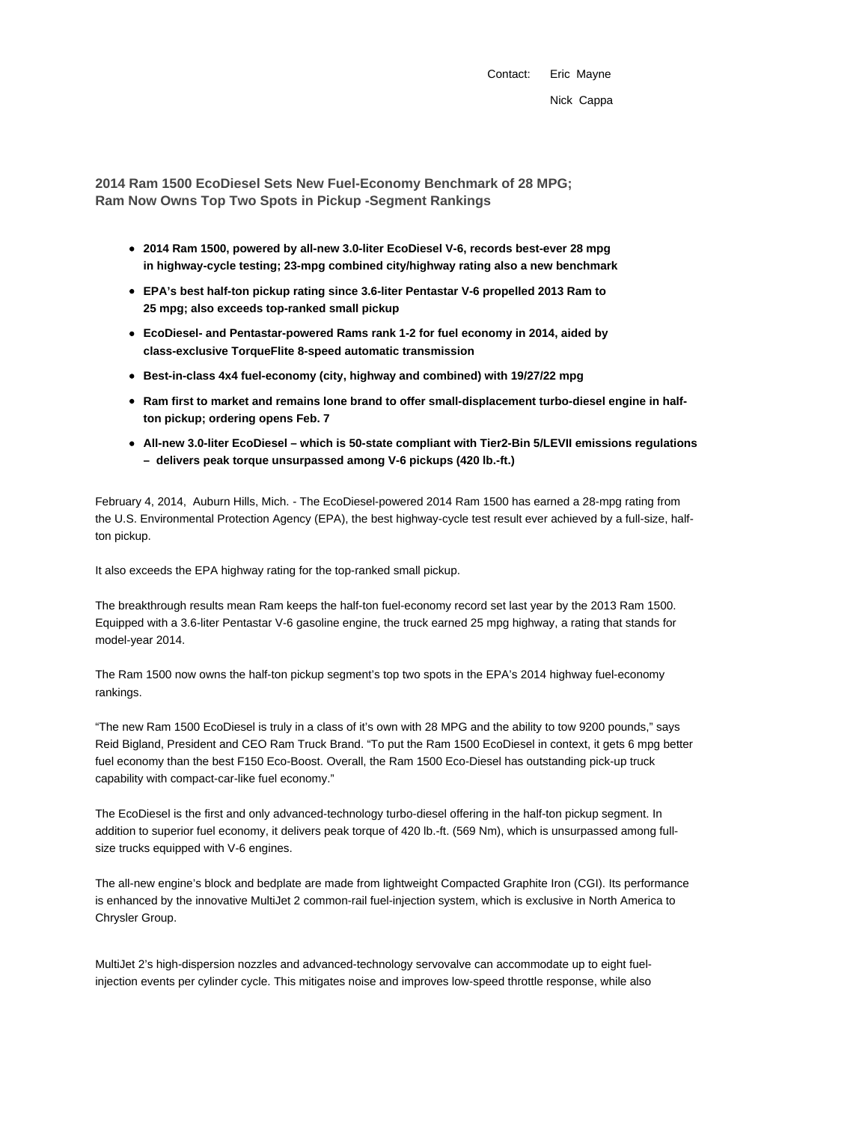Contact: Eric Mayne Nick Cappa

**2014 Ram 1500 EcoDiesel Sets New Fuel-Economy Benchmark of 28 MPG; Ram Now Owns Top Two Spots in Pickup -Segment Rankings**

- **2014 Ram 1500, powered by all-new 3.0-liter EcoDiesel V-6, records best-ever 28 mpg in highway-cycle testing; 23-mpg combined city/highway rating also a new benchmark**
- **EPA's best half-ton pickup rating since 3.6-liter Pentastar V-6 propelled 2013 Ram to 25 mpg; also exceeds top-ranked small pickup**
- **EcoDiesel- and Pentastar-powered Rams rank 1-2 for fuel economy in 2014, aided by class-exclusive TorqueFlite 8-speed automatic transmission**
- **Best-in-class 4x4 fuel-economy (city, highway and combined) with 19/27/22 mpg**
- **Ram first to market and remains lone brand to offer small-displacement turbo-diesel engine in halfton pickup; ordering opens Feb. 7**
- **All-new 3.0-liter EcoDiesel which is 50-state compliant with Tier2-Bin 5/LEVII emissions regulations – delivers peak torque unsurpassed among V-6 pickups (420 lb.-ft.)**

February 4, 2014, Auburn Hills, Mich. - The EcoDiesel-powered 2014 Ram 1500 has earned a 28-mpg rating from the U.S. Environmental Protection Agency (EPA), the best highway-cycle test result ever achieved by a full-size, halfton pickup.

It also exceeds the EPA highway rating for the top-ranked small pickup.

The breakthrough results mean Ram keeps the half-ton fuel-economy record set last year by the 2013 Ram 1500. Equipped with a 3.6-liter Pentastar V-6 gasoline engine, the truck earned 25 mpg highway, a rating that stands for model-year 2014.

The Ram 1500 now owns the half-ton pickup segment's top two spots in the EPA's 2014 highway fuel-economy rankings.

"The new Ram 1500 EcoDiesel is truly in a class of it's own with 28 MPG and the ability to tow 9200 pounds," says Reid Bigland, President and CEO Ram Truck Brand. "To put the Ram 1500 EcoDiesel in context, it gets 6 mpg better fuel economy than the best F150 Eco-Boost. Overall, the Ram 1500 Eco-Diesel has outstanding pick-up truck capability with compact-car-like fuel economy."

The EcoDiesel is the first and only advanced-technology turbo-diesel offering in the half-ton pickup segment. In addition to superior fuel economy, it delivers peak torque of 420 lb.-ft. (569 Nm), which is unsurpassed among fullsize trucks equipped with V-6 engines.

The all-new engine's block and bedplate are made from lightweight Compacted Graphite Iron (CGI). Its performance is enhanced by the innovative MultiJet 2 common-rail fuel-injection system, which is exclusive in North America to Chrysler Group.

MultiJet 2's high-dispersion nozzles and advanced-technology servovalve can accommodate up to eight fuelinjection events per cylinder cycle. This mitigates noise and improves low-speed throttle response, while also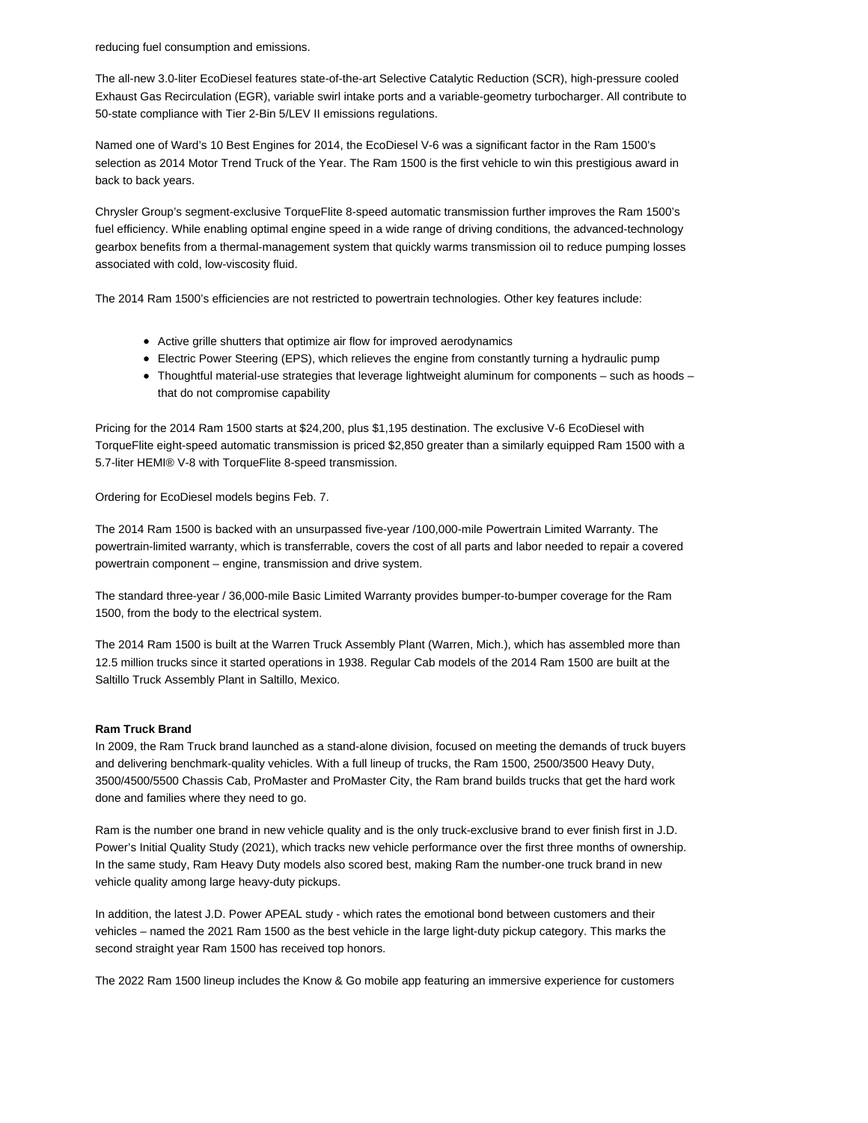reducing fuel consumption and emissions.

The all-new 3.0-liter EcoDiesel features state-of-the-art Selective Catalytic Reduction (SCR), high-pressure cooled Exhaust Gas Recirculation (EGR), variable swirl intake ports and a variable-geometry turbocharger. All contribute to 50-state compliance with Tier 2-Bin 5/LEV II emissions regulations.

Named one of Ward's 10 Best Engines for 2014, the EcoDiesel V-6 was a significant factor in the Ram 1500's selection as 2014 Motor Trend Truck of the Year. The Ram 1500 is the first vehicle to win this prestigious award in back to back years.

Chrysler Group's segment-exclusive TorqueFlite 8-speed automatic transmission further improves the Ram 1500's fuel efficiency. While enabling optimal engine speed in a wide range of driving conditions, the advanced-technology gearbox benefits from a thermal-management system that quickly warms transmission oil to reduce pumping losses associated with cold, low-viscosity fluid.

The 2014 Ram 1500's efficiencies are not restricted to powertrain technologies. Other key features include:

- Active grille shutters that optimize air flow for improved aerodynamics
- Electric Power Steering (EPS), which relieves the engine from constantly turning a hydraulic pump
- Thoughtful material-use strategies that leverage lightweight aluminum for components such as hoods that do not compromise capability

Pricing for the 2014 Ram 1500 starts at \$24,200, plus \$1,195 destination. The exclusive V-6 EcoDiesel with TorqueFlite eight-speed automatic transmission is priced \$2,850 greater than a similarly equipped Ram 1500 with a 5.7-liter HEMI® V-8 with TorqueFlite 8-speed transmission.

Ordering for EcoDiesel models begins Feb. 7.

The 2014 Ram 1500 is backed with an unsurpassed five-year /100,000-mile Powertrain Limited Warranty. The powertrain-limited warranty, which is transferrable, covers the cost of all parts and labor needed to repair a covered powertrain component – engine, transmission and drive system.

The standard three-year / 36,000-mile Basic Limited Warranty provides bumper-to-bumper coverage for the Ram 1500, from the body to the electrical system.

The 2014 Ram 1500 is built at the Warren Truck Assembly Plant (Warren, Mich.), which has assembled more than 12.5 million trucks since it started operations in 1938. Regular Cab models of the 2014 Ram 1500 are built at the Saltillo Truck Assembly Plant in Saltillo, Mexico.

## **Ram Truck Brand**

In 2009, the Ram Truck brand launched as a stand-alone division, focused on meeting the demands of truck buyers and delivering benchmark-quality vehicles. With a full lineup of trucks, the Ram 1500, 2500/3500 Heavy Duty, 3500/4500/5500 Chassis Cab, ProMaster and ProMaster City, the Ram brand builds trucks that get the hard work done and families where they need to go.

Ram is the number one brand in new vehicle quality and is the only truck-exclusive brand to ever finish first in J.D. Power's Initial Quality Study (2021), which tracks new vehicle performance over the first three months of ownership. In the same study, Ram Heavy Duty models also scored best, making Ram the number-one truck brand in new vehicle quality among large heavy-duty pickups.

In addition, the latest J.D. Power APEAL study - which rates the emotional bond between customers and their vehicles – named the 2021 Ram 1500 as the best vehicle in the large light-duty pickup category. This marks the second straight year Ram 1500 has received top honors.

The 2022 Ram 1500 lineup includes the Know & Go mobile app featuring an immersive experience for customers